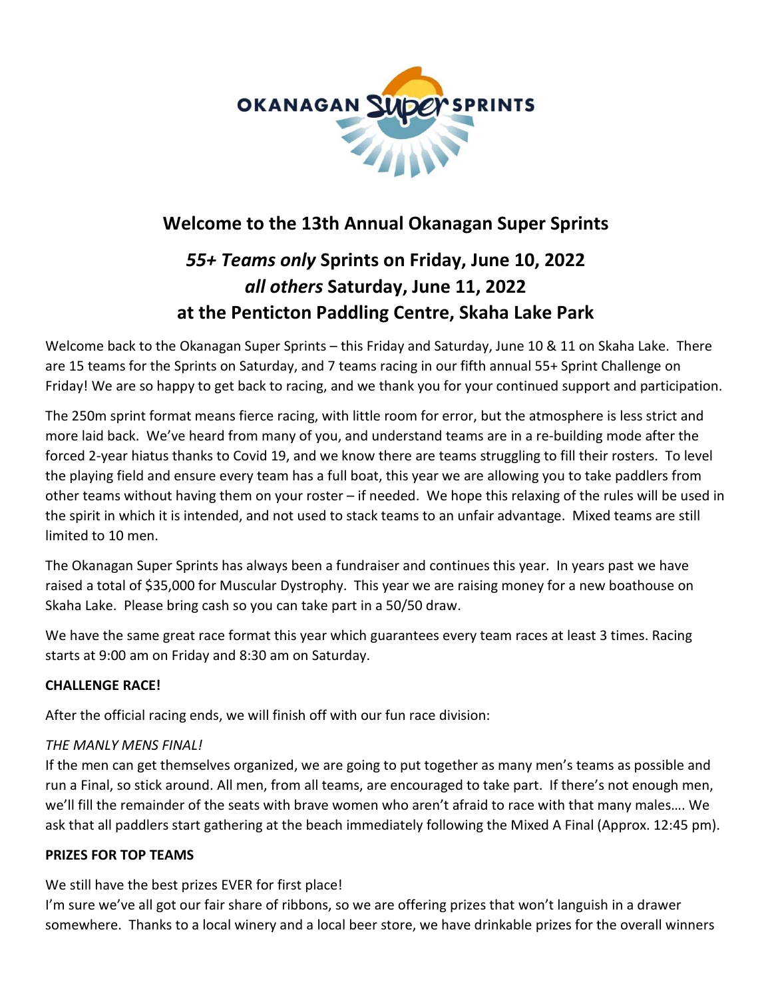

# **Welcome to the 13th Annual Okanagan Super Sprints**

# *55+ Teams only* **Sprints on Friday, June 10, 2022** *all others* **Saturday, June 11, 2022 at the Penticton Paddling Centre, Skaha Lake Park**

Welcome back to the Okanagan Super Sprints – this Friday and Saturday, June 10 & 11 on Skaha Lake. There are 15 teams for the Sprints on Saturday, and 7 teams racing in our fifth annual 55+ Sprint Challenge on Friday! We are so happy to get back to racing, and we thank you for your continued support and participation.

The 250m sprint format means fierce racing, with little room for error, but the atmosphere is less strict and more laid back. We've heard from many of you, and understand teams are in a re-building mode after the forced 2-year hiatus thanks to Covid 19, and we know there are teams struggling to fill their rosters. To level the playing field and ensure every team has a full boat, this year we are allowing you to take paddlers from other teams without having them on your roster – if needed. We hope this relaxing of the rules will be used in the spirit in which it is intended, and not used to stack teams to an unfair advantage. Mixed teams are still limited to 10 men.

The Okanagan Super Sprints has always been a fundraiser and continues this year. In years past we have raised a total of \$35,000 for Muscular Dystrophy. This year we are raising money for a new boathouse on Skaha Lake. Please bring cash so you can take part in a 50/50 draw.

We have the same great race format this year which guarantees every team races at least 3 times. Racing starts at 9:00 am on Friday and 8:30 am on Saturday.

# **CHALLENGE RACE!**

After the official racing ends, we will finish off with our fun race division:

# *THE MANLY MENS FINAL!*

If the men can get themselves organized, we are going to put together as many men's teams as possible and run a Final, so stick around. All men, from all teams, are encouraged to take part. If there's not enough men, we'll fill the remainder of the seats with brave women who aren't afraid to race with that many males…. We ask that all paddlers start gathering at the beach immediately following the Mixed A Final (Approx. 12:45 pm).

#### **PRIZES FOR TOP TEAMS**

We still have the best prizes EVER for first place!

I'm sure we've all got our fair share of ribbons, so we are offering prizes that won't languish in a drawer somewhere. Thanks to a local winery and a local beer store, we have drinkable prizes for the overall winners